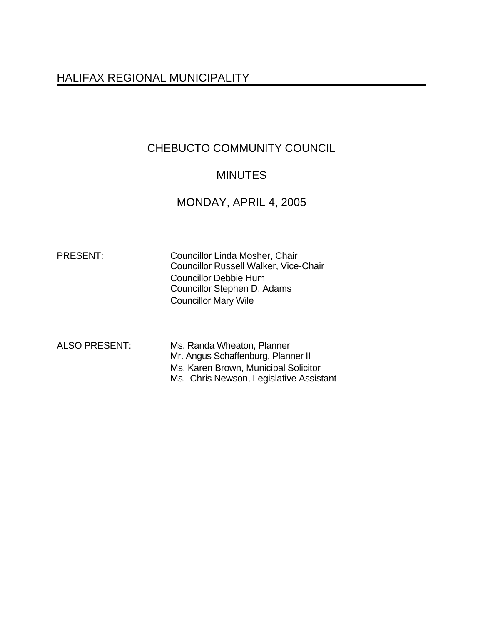# HALIFAX REGIONAL MUNICIPALITY

# CHEBUCTO COMMUNITY COUNCIL

# **MINUTES**

## MONDAY, APRIL 4, 2005

PRESENT: Councillor Linda Mosher, Chair Councillor Russell Walker, Vice-Chair Councillor Debbie Hum Councillor Stephen D. Adams Councillor Mary Wile

ALSO PRESENT: Ms. Randa Wheaton, Planner Mr. Angus Schaffenburg, Planner II Ms. Karen Brown, Municipal Solicitor Ms. Chris Newson, Legislative Assistant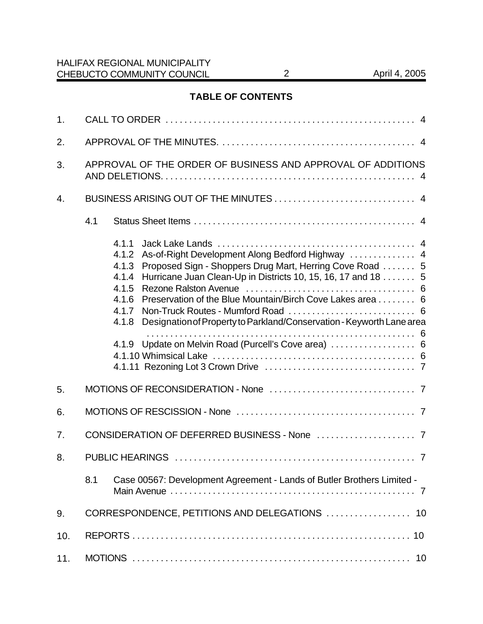## **TABLE OF CONTENTS**

| 1.  |     |                                                                                                                                                                                                                                                                                                                                                                                                                                                     |  |
|-----|-----|-----------------------------------------------------------------------------------------------------------------------------------------------------------------------------------------------------------------------------------------------------------------------------------------------------------------------------------------------------------------------------------------------------------------------------------------------------|--|
| 2.  |     |                                                                                                                                                                                                                                                                                                                                                                                                                                                     |  |
| 3.  |     | APPROVAL OF THE ORDER OF BUSINESS AND APPROVAL OF ADDITIONS                                                                                                                                                                                                                                                                                                                                                                                         |  |
| 4.  |     |                                                                                                                                                                                                                                                                                                                                                                                                                                                     |  |
|     | 4.1 |                                                                                                                                                                                                                                                                                                                                                                                                                                                     |  |
|     |     | 4.1.1<br>As-of-Right Development Along Bedford Highway  4<br>4.1.2<br>Proposed Sign - Shoppers Drug Mart, Herring Cove Road  5<br>4.1.3<br>Hurricane Juan Clean-Up in Districts 10, 15, 16, 17 and 18  5<br>4.1.4<br>4.1.5<br>Preservation of the Blue Mountain/Birch Cove Lakes area 6<br>4.1.6<br>4.1.7<br>Designation of Property to Parkland/Conservation - Keyworth Lane area<br>4.1.8<br>4.1.9 Update on Melvin Road (Purcell's Cove area)  6 |  |
| 5.  |     |                                                                                                                                                                                                                                                                                                                                                                                                                                                     |  |
| 6.  |     |                                                                                                                                                                                                                                                                                                                                                                                                                                                     |  |
| 7.  |     |                                                                                                                                                                                                                                                                                                                                                                                                                                                     |  |
| 8.  |     |                                                                                                                                                                                                                                                                                                                                                                                                                                                     |  |
|     | 8.1 | Case 00567: Development Agreement - Lands of Butler Brothers Limited -                                                                                                                                                                                                                                                                                                                                                                              |  |
| 9.  |     | CORRESPONDENCE, PETITIONS AND DELEGATIONS  10                                                                                                                                                                                                                                                                                                                                                                                                       |  |
| 10. |     |                                                                                                                                                                                                                                                                                                                                                                                                                                                     |  |
| 11. |     |                                                                                                                                                                                                                                                                                                                                                                                                                                                     |  |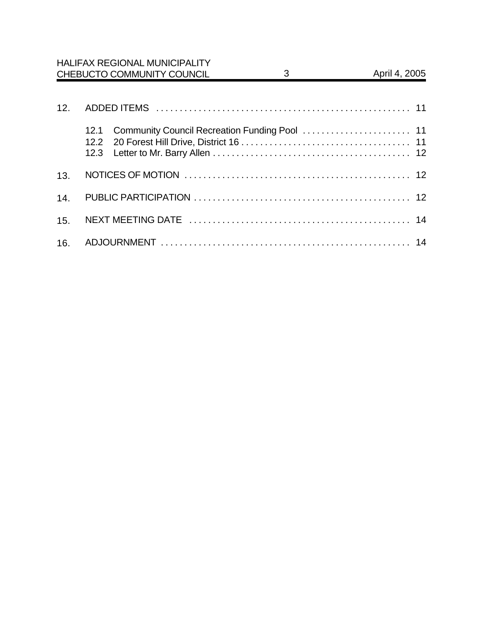|     |                      | <b>HALIFAX REGIONAL MUNICIPALITY</b><br>CHEBUCTO COMMUNITY COUNCIL | 3 | April 4, 2005 |
|-----|----------------------|--------------------------------------------------------------------|---|---------------|
|     |                      |                                                                    |   |               |
| 12. |                      |                                                                    |   |               |
|     | 12.1<br>12.2<br>12.3 |                                                                    |   |               |
| 13. |                      |                                                                    |   |               |
| 14. |                      |                                                                    |   |               |
| 15. |                      |                                                                    |   |               |
| 16. |                      |                                                                    |   |               |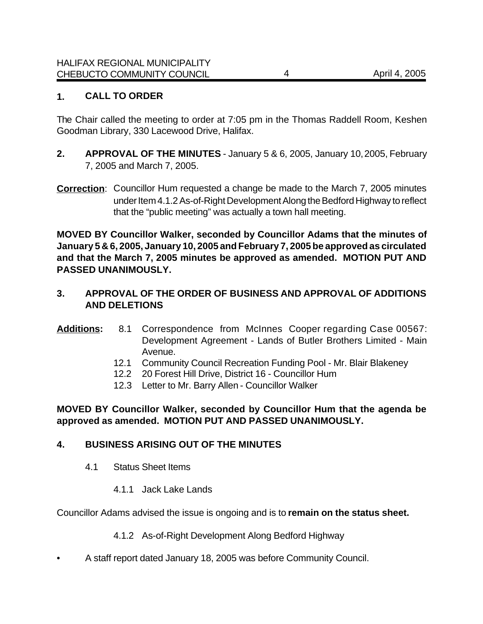## **1. CALL TO ORDER**

The Chair called the meeting to order at 7:05 pm in the Thomas Raddell Room, Keshen Goodman Library, 330 Lacewood Drive, Halifax.

- **2. APPROVAL OF THE MINUTES**  January 5 & 6, 2005, January 10, 2005, February 7, 2005 and March 7, 2005.
- **Correction**: Councillor Hum requested a change be made to the March 7, 2005 minutes under Item 4.1.2 As-of-Right Development Along the Bedford Highway to reflect that the "public meeting" was actually a town hall meeting.

**MOVED BY Councillor Walker, seconded by Councillor Adams that the minutes of January 5 & 6, 2005, January 10, 2005 and February 7, 2005 be approved as circulated and that the March 7, 2005 minutes be approved as amended. MOTION PUT AND PASSED UNANIMOUSLY.** 

## **3. APPROVAL OF THE ORDER OF BUSINESS AND APPROVAL OF ADDITIONS AND DELETIONS**

### **Additions:** 8.1 Correspondence from McInnes Cooper regarding Case 00567: Development Agreement - Lands of Butler Brothers Limited - Main Avenue.

- 12.1 Community Council Recreation Funding Pool Mr. Blair Blakeney
- 12.2 20 Forest Hill Drive, District 16 Councillor Hum
- 12.3 Letter to Mr. Barry Allen Councillor Walker

**MOVED BY Councillor Walker, seconded by Councillor Hum that the agenda be approved as amended. MOTION PUT AND PASSED UNANIMOUSLY.**

## **4. BUSINESS ARISING OUT OF THE MINUTES**

- 4.1 Status Sheet Items
	- 4.1.1 Jack Lake Lands

Councillor Adams advised the issue is ongoing and is to **remain on the status sheet.** 

4.1.2 As-of-Right Development Along Bedford Highway

• A staff report dated January 18, 2005 was before Community Council.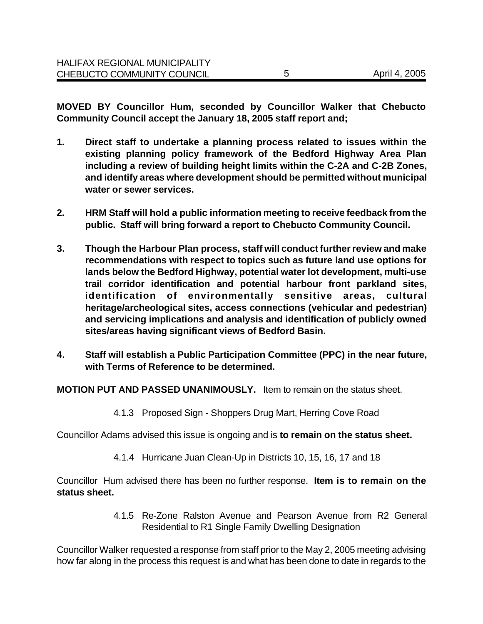**MOVED BY Councillor Hum, seconded by Councillor Walker that Chebucto Community Council accept the January 18, 2005 staff report and;**

- **1. Direct staff to undertake a planning process related to issues within the existing planning policy framework of the Bedford Highway Area Plan including a review of building height limits within the C-2A and C-2B Zones, and identify areas where development should be permitted without municipal water or sewer services.**
- **2. HRM Staff will hold a public information meeting to receive feedback from the public. Staff will bring forward a report to Chebucto Community Council.**
- **3. Though the Harbour Plan process, staff will conduct further review and make recommendations with respect to topics such as future land use options for lands below the Bedford Highway, potential water lot development, multi-use trail corridor identification and potential harbour front parkland sites, identification of environmentally sensitive areas, cultural heritage/archeological sites, access connections (vehicular and pedestrian) and servicing implications and analysis and identification of publicly owned sites/areas having significant views of Bedford Basin.**
- **4. Staff will establish a Public Participation Committee (PPC) in the near future, with Terms of Reference to be determined.**

**MOTION PUT AND PASSED UNANIMOUSLY.** Item to remain on the status sheet.

4.1.3 Proposed Sign - Shoppers Drug Mart, Herring Cove Road

Councillor Adams advised this issue is ongoing and is **to remain on the status sheet.** 

4.1.4 Hurricane Juan Clean-Up in Districts 10, 15, 16, 17 and 18

Councillor Hum advised there has been no further response. **Item is to remain on the status sheet.** 

> 4.1.5 Re-Zone Ralston Avenue and Pearson Avenue from R2 General Residential to R1 Single Family Dwelling Designation

Councillor Walker requested a response from staff prior to the May 2, 2005 meeting advising how far along in the process this request is and what has been done to date in regards to the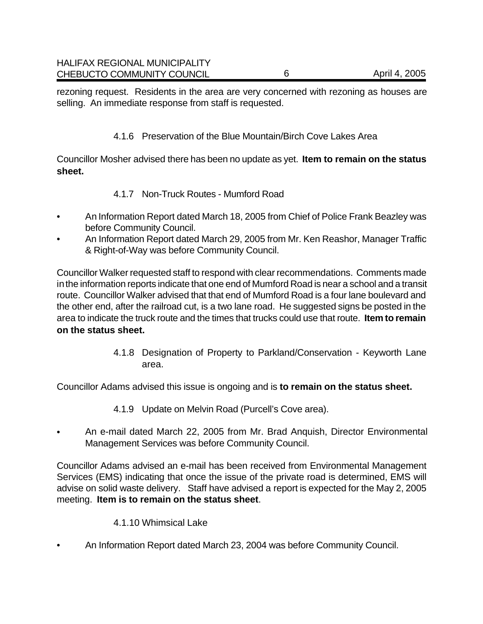rezoning request. Residents in the area are very concerned with rezoning as houses are selling. An immediate response from staff is requested.

## 4.1.6 Preservation of the Blue Mountain/Birch Cove Lakes Area

Councillor Mosher advised there has been no update as yet. **Item to remain on the status sheet.** 

- 4.1.7 Non-Truck Routes Mumford Road
- An Information Report dated March 18, 2005 from Chief of Police Frank Beazley was before Community Council.
- An Information Report dated March 29, 2005 from Mr. Ken Reashor, Manager Traffic & Right-of-Way was before Community Council.

Councillor Walker requested staff to respond with clear recommendations. Comments made in the information reports indicate that one end of Mumford Road is near a school and a transit route. Councillor Walker advised that that end of Mumford Road is a four lane boulevard and the other end, after the railroad cut, is a two lane road. He suggested signs be posted in the area to indicate the truck route and the times that trucks could use that route. **Item to remain on the status sheet.** 

> 4.1.8 Designation of Property to Parkland/Conservation - Keyworth Lane area.

Councillor Adams advised this issue is ongoing and is **to remain on the status sheet.** 

- 4.1.9 Update on Melvin Road (Purcell's Cove area).
- An e-mail dated March 22, 2005 from Mr. Brad Anquish, Director Environmental Management Services was before Community Council.

Councillor Adams advised an e-mail has been received from Environmental Management Services (EMS) indicating that once the issue of the private road is determined, EMS will advise on solid waste delivery. Staff have advised a report is expected for the May 2, 2005 meeting. **Item is to remain on the status sheet**.

#### 4.1.10 Whimsical Lake

• An Information Report dated March 23, 2004 was before Community Council.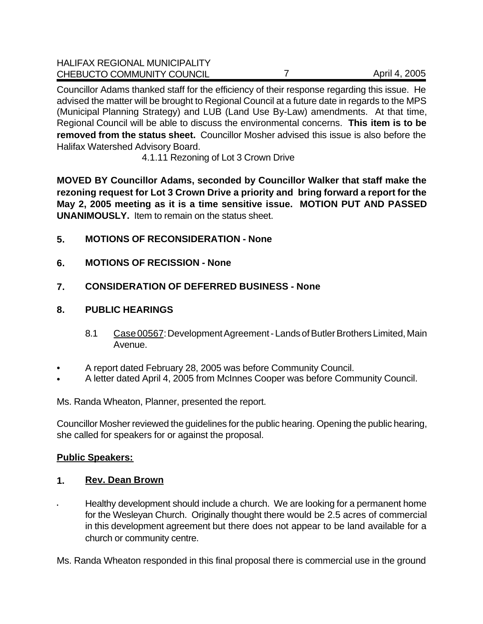| <b>HALIFAX REGIONAL MUNICIPALITY</b> |               |
|--------------------------------------|---------------|
| CHEBUCTO COMMUNITY COUNCIL           | April 4, 2005 |

Councillor Adams thanked staff for the efficiency of their response regarding this issue. He advised the matter will be brought to Regional Council at a future date in regards to the MPS (Municipal Planning Strategy) and LUB (Land Use By-Law) amendments. At that time, Regional Council will be able to discuss the environmental concerns. **This item is to be removed from the status sheet.**Councillor Mosher advised this issue is also before the Halifax Watershed Advisory Board.

4.1.11 Rezoning of Lot 3 Crown Drive

**MOVED BY Councillor Adams, seconded by Councillor Walker that staff make the rezoning request for Lot 3 Crown Drive a priority and bring forward a report for the May 2, 2005 meeting as it is a time sensitive issue. MOTION PUT AND PASSED UNANIMOUSLY.** Item to remain on the status sheet.

- **5. MOTIONS OF RECONSIDERATION None**
- **6. MOTIONS OF RECISSION None**
- **7. CONSIDERATION OF DEFERRED BUSINESS None**

### **8. PUBLIC HEARINGS**

- 8.1 Case 00567: Development Agreement Lands of Butler Brothers Limited, Main Avenue.
- A report dated February 28, 2005 was before Community Council.
- A letter dated April 4, 2005 from McInnes Cooper was before Community Council.

Ms. Randa Wheaton, Planner, presented the report.

Councillor Mosher reviewed the guidelines for the public hearing. Opening the public hearing, she called for speakers for or against the proposal.

#### **Public Speakers:**

#### **1. Rev. Dean Brown**

• Healthy development should include a church. We are looking for a permanent home for the Wesleyan Church. Originally thought there would be 2.5 acres of commercial in this development agreement but there does not appear to be land available for a church or community centre.

Ms. Randa Wheaton responded in this final proposal there is commercial use in the ground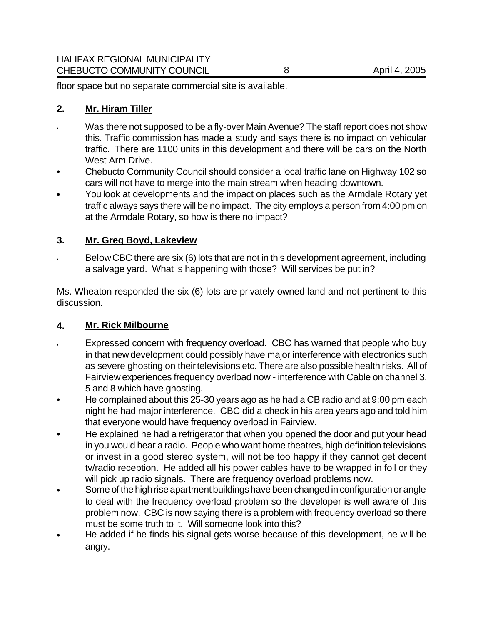floor space but no separate commercial site is available.

#### **2. Mr. Hiram Tiller**

- Was there not supposed to be a fly-over Main Avenue? The staff report does not show this. Traffic commission has made a study and says there is no impact on vehicular traffic. There are 1100 units in this development and there will be cars on the North West Arm Drive.
- Chebucto Community Council should consider a local traffic lane on Highway 102 so cars will not have to merge into the main stream when heading downtown.
- You look at developments and the impact on places such as the Armdale Rotary yet traffic always says there will be no impact. The city employs a person from 4:00 pm on at the Armdale Rotary, so how is there no impact?

### **3. Mr. Greg Boyd, Lakeview**

• Below CBC there are six (6) lots that are not in this development agreement, including a salvage yard. What is happening with those? Will services be put in?

Ms. Wheaton responded the six (6) lots are privately owned land and not pertinent to this discussion.

#### **4. Mr. Rick Milbourne**

- Expressed concern with frequency overload. CBC has warned that people who buy in that new development could possibly have major interference with electronics such as severe ghosting on their televisions etc. There are also possible health risks. All of Fairview experiences frequency overload now - interference with Cable on channel 3, 5 and 8 which have ghosting.
- He complained about this 25-30 years ago as he had a CB radio and at 9:00 pm each night he had major interference. CBC did a check in his area years ago and told him that everyone would have frequency overload in Fairview.
- He explained he had a refrigerator that when you opened the door and put your head in you would hear a radio. People who want home theatres, high definition televisions or invest in a good stereo system, will not be too happy if they cannot get decent tv/radio reception. He added all his power cables have to be wrapped in foil or they will pick up radio signals. There are frequency overload problems now.
- Some of the high rise apartment buildings have been changed in configuration or angle to deal with the frequency overload problem so the developer is well aware of this problem now. CBC is now saying there is a problem with frequency overload so there must be some truth to it. Will someone look into this?
- He added if he finds his signal gets worse because of this development, he will be angry.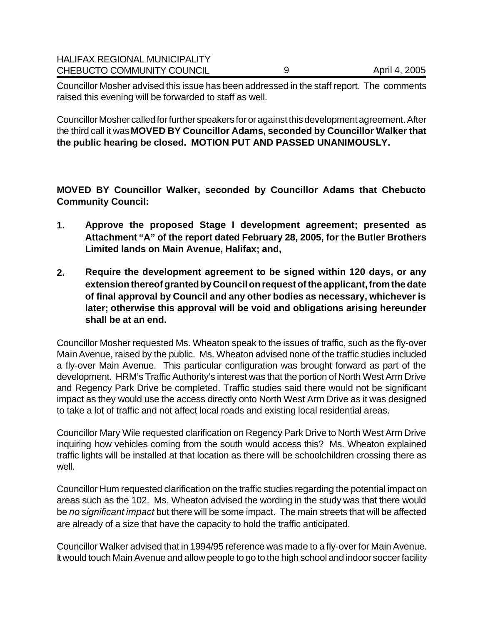| CHEBUCTO COMMUNITY COUNCIL           | April 4, 2005 |
|--------------------------------------|---------------|
| <b>HALIFAX REGIONAL MUNICIPALITY</b> |               |

Councillor Mosher advised this issue has been addressed in the staff report. The comments raised this evening will be forwarded to staff as well.

Councillor Mosher called for further speakers for or against this development agreement. After the third call it was **MOVED BY Councillor Adams, seconded by Councillor Walker that the public hearing be closed. MOTION PUT AND PASSED UNANIMOUSLY.** 

**MOVED BY Councillor Walker, seconded by Councillor Adams that Chebucto Community Council:**

- **1. Approve the proposed Stage I development agreement; presented as Attachment "A" of the report dated February 28, 2005, for the Butler Brothers Limited lands on Main Avenue, Halifax; and,**
- **2. Require the development agreement to be signed within 120 days, or any extension thereof granted by Council on request of the applicant, from the date of final approval by Council and any other bodies as necessary, whichever is later; otherwise this approval will be void and obligations arising hereunder shall be at an end.**

Councillor Mosher requested Ms. Wheaton speak to the issues of traffic, such as the fly-over Main Avenue, raised by the public. Ms. Wheaton advised none of the traffic studies included a fly-over Main Avenue. This particular configuration was brought forward as part of the development. HRM's Traffic Authority's interest was that the portion of North West Arm Drive and Regency Park Drive be completed. Traffic studies said there would not be significant impact as they would use the access directly onto North West Arm Drive as it was designed to take a lot of traffic and not affect local roads and existing local residential areas.

Councillor Mary Wile requested clarification on Regency Park Drive to North West Arm Drive inquiring how vehicles coming from the south would access this? Ms. Wheaton explained traffic lights will be installed at that location as there will be schoolchildren crossing there as well.

Councillor Hum requested clarification on the traffic studies regarding the potential impact on areas such as the 102. Ms. Wheaton advised the wording in the study was that there would be *no significant impact* but there will be some impact. The main streets that will be affected are already of a size that have the capacity to hold the traffic anticipated.

Councillor Walker advised that in 1994/95 reference was made to a fly-over for Main Avenue. It would touch Main Avenue and allow people to go to the high school and indoor soccer facility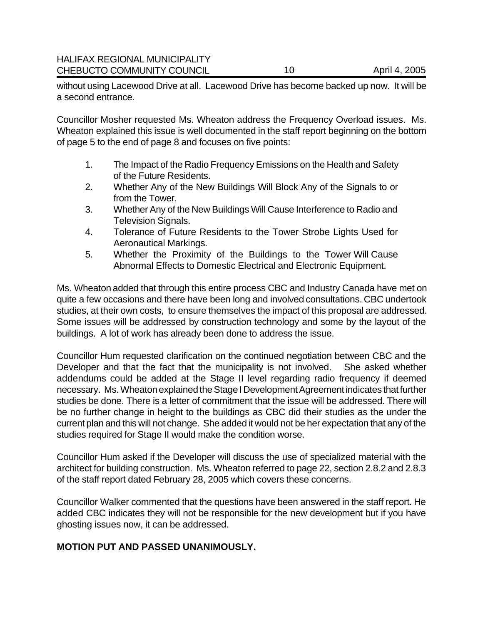without using Lacewood Drive at all. Lacewood Drive has become backed up now. It will be a second entrance.

Councillor Mosher requested Ms. Wheaton address the Frequency Overload issues. Ms. Wheaton explained this issue is well documented in the staff report beginning on the bottom of page 5 to the end of page 8 and focuses on five points:

- 1. The Impact of the Radio Frequency Emissions on the Health and Safety of the Future Residents.
- 2. Whether Any of the New Buildings Will Block Any of the Signals to or from the Tower.
- 3. Whether Any of the New Buildings Will Cause Interference to Radio and Television Signals.
- 4. Tolerance of Future Residents to the Tower Strobe Lights Used for Aeronautical Markings.
- 5. Whether the Proximity of the Buildings to the Tower Will Cause Abnormal Effects to Domestic Electrical and Electronic Equipment.

Ms. Wheaton added that through this entire process CBC and Industry Canada have met on quite a few occasions and there have been long and involved consultations. CBC undertook studies, at their own costs, to ensure themselves the impact of this proposal are addressed. Some issues will be addressed by construction technology and some by the layout of the buildings. A lot of work has already been done to address the issue.

Councillor Hum requested clarification on the continued negotiation between CBC and the Developer and that the fact that the municipality is not involved. She asked whether addendums could be added at the Stage II level regarding radio frequency if deemed necessary. Ms. Wheaton explained the Stage I Development Agreement indicates that further studies be done. There is a letter of commitment that the issue will be addressed. There will be no further change in height to the buildings as CBC did their studies as the under the current plan and this will not change. She added it would not be her expectation that any of the studies required for Stage II would make the condition worse.

Councillor Hum asked if the Developer will discuss the use of specialized material with the architect for building construction. Ms. Wheaton referred to page 22, section 2.8.2 and 2.8.3 of the staff report dated February 28, 2005 which covers these concerns.

Councillor Walker commented that the questions have been answered in the staff report. He added CBC indicates they will not be responsible for the new development but if you have ghosting issues now, it can be addressed.

#### **MOTION PUT AND PASSED UNANIMOUSLY.**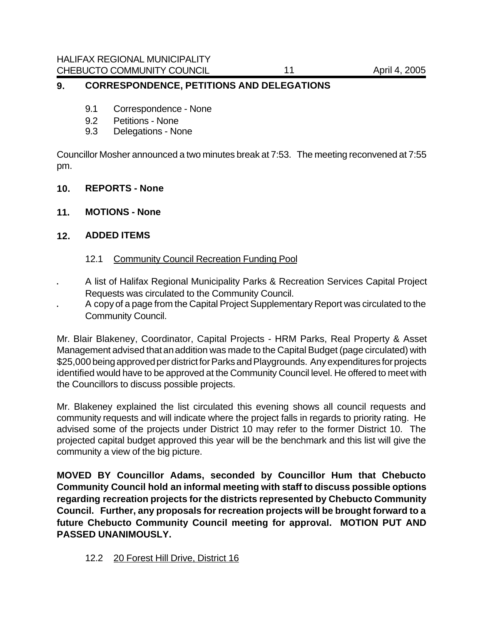#### **9. CORRESPONDENCE, PETITIONS AND DELEGATIONS**

- 9.1 Correspondence None
- 9.2 Petitions None
- 9.3 Delegations None

Councillor Mosher announced a two minutes break at 7:53. The meeting reconvened at 7:55 pm.

- **10. REPORTS None**
- **11. MOTIONS None**

#### **12. ADDED ITEMS**

- 12.1 Community Council Recreation Funding Pool
- A list of Halifax Regional Municipality Parks & Recreation Services Capital Project Requests was circulated to the Community Council.
- A copy of a page from the Capital Project Supplementary Report was circulated to the Community Council.

Mr. Blair Blakeney, Coordinator, Capital Projects - HRM Parks, Real Property & Asset Management advised thatan addition was made to the Capital Budget (page circulated) with \$25,000 being approved per district for Parks and Playgrounds. Any expenditures for projects identified would have to be approved at the Community Council level. He offered to meet with the Councillors to discuss possible projects.

Mr. Blakeney explained the list circulated this evening shows all council requests and community requests and will indicate where the project falls in regards to priority rating. He advised some of the projects under District 10 may refer to the former District 10. The projected capital budget approved this year will be the benchmark and this list will give the community a view of the big picture.

**MOVED BY Councillor Adams, seconded by Councillor Hum that Chebucto Community Council hold an informal meeting with staff to discuss possible options regarding recreation projects for the districts represented by Chebucto Community Council. Further, any proposals for recreation projects will be brought forward to a future Chebucto Community Council meeting for approval. MOTION PUT AND PASSED UNANIMOUSLY.** 

#### 12.2 20 Forest Hill Drive, District 16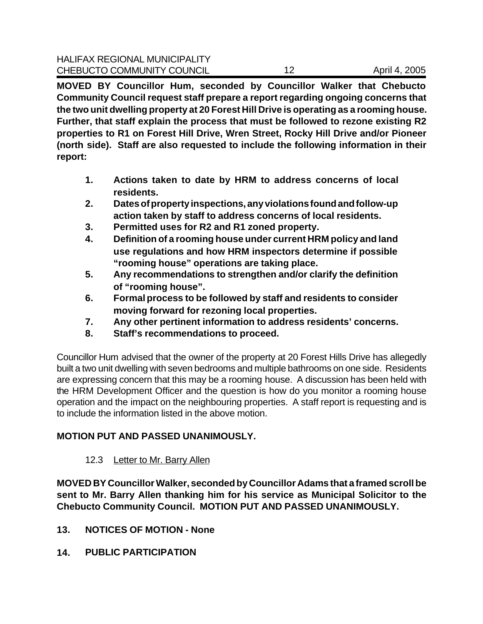**MOVED BY Councillor Hum, seconded by Councillor Walker that Chebucto Community Council request staff prepare a report regarding ongoing concerns that the two unit dwelling property at 20 Forest Hill Drive is operating as a rooming house. Further, that staff explain the process that must be followed to rezone existing R2 properties to R1 on Forest Hill Drive, Wren Street, Rocky Hill Drive and/or Pioneer (north side). Staff are also requested to include the following information in their report:**

- **1. Actions taken to date by HRM to address concerns of local residents.**
- **2. Dates of property inspections, any violations found and follow-up action taken by staff to address concerns of local residents.**
- **3. Permitted uses for R2 and R1 zoned property.**
- **4. Definition of a rooming house under current HRM policy and land use regulations and how HRM inspectors determine if possible "rooming house" operations are taking place.**
- **5. Any recommendations to strengthen and/or clarify the definition of "rooming house".**
- **6. Formal process to be followed by staff and residents to consider moving forward for rezoning local properties.**
- **7. Any other pertinent information to address residents' concerns.**
- **8. Staff's recommendations to proceed.**

Councillor Hum advised that the owner of the property at 20 Forest Hills Drive has allegedly built a two unit dwelling with seven bedrooms and multiple bathrooms on one side. Residents are expressing concern that this may be a rooming house. A discussion has been held with the HRM Development Officer and the question is how do you monitor a rooming house operation and the impact on the neighbouring properties. A staff report is requesting and is to include the information listed in the above motion.

## **MOTION PUT AND PASSED UNANIMOUSLY.**

## 12.3 Letter to Mr. Barry Allen

**MOVED BY Councillor Walker, seconded by Councillor Adams that a framed scroll be sent to Mr. Barry Allen thanking him for his service as Municipal Solicitor to the Chebucto Community Council. MOTION PUT AND PASSED UNANIMOUSLY.** 

- **13. NOTICES OF MOTION None**
- **14. PUBLIC PARTICIPATION**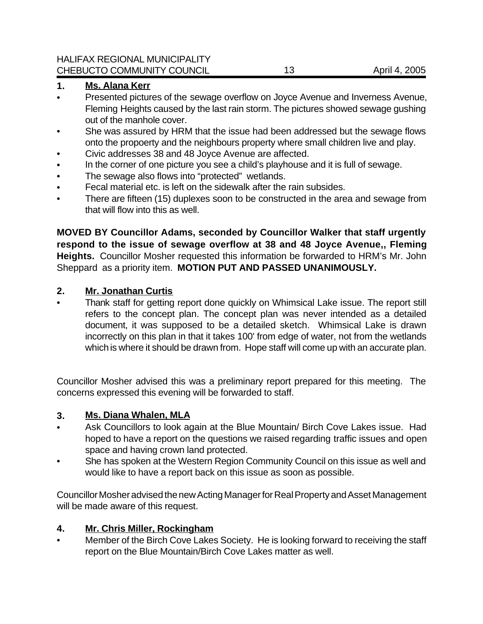#### **1. Ms. Alana Kerr**

- Presented pictures of the sewage overflow on Joyce Avenue and Inverness Avenue, Fleming Heights caused by the last rain storm. The pictures showed sewage gushing out of the manhole cover.
- She was assured by HRM that the issue had been addressed but the sewage flows onto the propoerty and the neighbours property where small children live and play.
- Civic addresses 38 and 48 Joyce Avenue are affected.
- In the corner of one picture you see a child's playhouse and it is full of sewage.
- The sewage also flows into "protected" wetlands.
- Fecal material etc. is left on the sidewalk after the rain subsides.
- There are fifteen (15) duplexes soon to be constructed in the area and sewage from that will flow into this as well.

**MOVED BY Councillor Adams, seconded by Councillor Walker that staff urgently respond to the issue of sewage overflow at 38 and 48 Joyce Avenue,, Fleming Heights.** Councillor Mosher requested this information be forwarded to HRM's Mr. John Sheppard as a priority item. **MOTION PUT AND PASSED UNANIMOUSLY.**

### **2. Mr. Jonathan Curtis**

Thank staff for getting report done quickly on Whimsical Lake issue. The report still refers to the concept plan. The concept plan was never intended as a detailed document, it was supposed to be a detailed sketch. Whimsical Lake is drawn incorrectly on this plan in that it takes 100' from edge of water, not from the wetlands which is where it should be drawn from. Hope staff will come up with an accurate plan.

Councillor Mosher advised this was a preliminary report prepared for this meeting. The concerns expressed this evening will be forwarded to staff.

#### **3. Ms. Diana Whalen, MLA**

- Ask Councillors to look again at the Blue Mountain/ Birch Cove Lakes issue. Had hoped to have a report on the questions we raised regarding traffic issues and open space and having crown land protected.
- She has spoken at the Western Region Community Council on this issue as well and would like to have a report back on this issue as soon as possible.

Councillor Mosher advised the new Acting Manager for Real Property and Asset Management will be made aware of this request.

#### **4. Mr. Chris Miller, Rockingham**

Member of the Birch Cove Lakes Society. He is looking forward to receiving the staff report on the Blue Mountain/Birch Cove Lakes matter as well.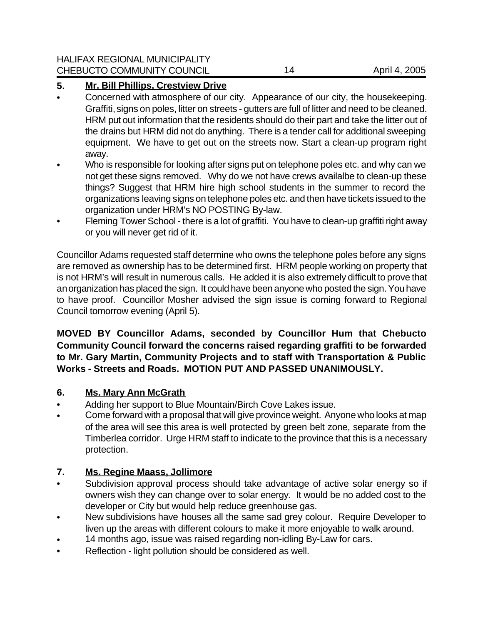## **5. Mr. Bill Phillips, Crestview Drive**

- Concerned with atmosphere of our city. Appearance of our city, the housekeeping. Graffiti, signs on poles, litter on streets - gutters are full of litter and need to be cleaned. HRM put out information that the residents should do their part and take the litter out of the drains but HRM did not do anything. There is a tender call for additional sweeping equipment. We have to get out on the streets now. Start a clean-up program right away.
- Who is responsible for looking after signs put on telephone poles etc. and why can we not get these signs removed. Why do we not have crews availalbe to clean-up these things? Suggest that HRM hire high school students in the summer to record the organizations leaving signs on telephone poles etc. and then have tickets issued to the organization under HRM's NO POSTING By-law.
- Fleming Tower School there is a lot of graffiti. You have to clean-up graffiti right away or you will never get rid of it.

Councillor Adams requested staff determine who owns the telephone poles before any signs are removed as ownership has to be determined first. HRM people working on property that is not HRM's will result in numerous calls. He added it is also extremely difficult to prove that an organization has placed the sign. It could have been anyone who posted the sign. You have to have proof. Councillor Mosher advised the sign issue is coming forward to Regional Council tomorrow evening (April 5).

## **MOVED BY Councillor Adams, seconded by Councillor Hum that Chebucto Community Council forward the concerns raised regarding graffiti to be forwarded to Mr. Gary Martin, Community Projects and to staff with Transportation & Public Works - Streets and Roads. MOTION PUT AND PASSED UNANIMOUSLY.**

## **6. Ms. Mary Ann McGrath**

- Adding her support to Blue Mountain/Birch Cove Lakes issue.
- Come forward with a proposal that will give province weight. Anyone who looks at map of the area will see this area is well protected by green belt zone, separate from the Timberlea corridor. Urge HRM staff to indicate to the province that this is a necessary protection.

## **7. Ms. Regine Maass, Jollimore**

- Subdivision approval process should take advantage of active solar energy so if owners wish they can change over to solar energy. It would be no added cost to the developer or City but would help reduce greenhouse gas.
- New subdivisions have houses all the same sad grey colour. Require Developer to liven up the areas with different colours to make it more enjoyable to walk around.
- 14 months ago, issue was raised regarding non-idling By-Law for cars.
- Reflection light pollution should be considered as well.